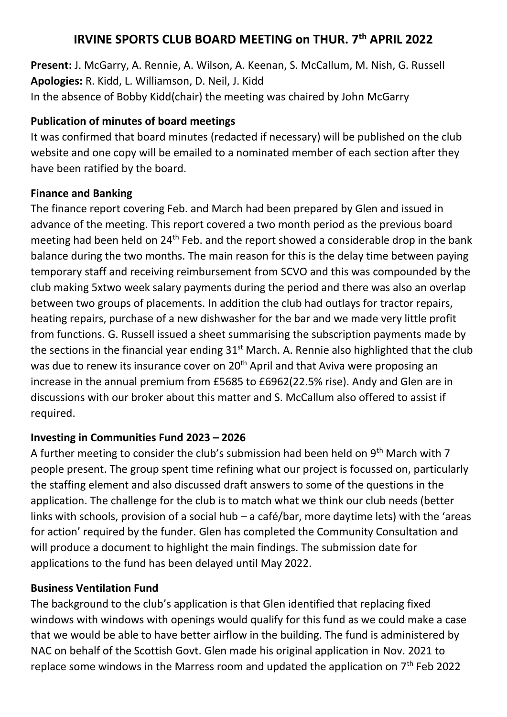# **IRVINE SPORTS CLUB BOARD MEETING on THUR. 7th APRIL 2022**

**Present:** J. McGarry, A. Rennie, A. Wilson, A. Keenan, S. McCallum, M. Nish, G. Russell **Apologies:** R. Kidd, L. Williamson, D. Neil, J. Kidd In the absence of Bobby Kidd(chair) the meeting was chaired by John McGarry

## **Publication of minutes of board meetings**

It was confirmed that board minutes (redacted if necessary) will be published on the club website and one copy will be emailed to a nominated member of each section after they have been ratified by the board.

## **Finance and Banking**

The finance report covering Feb. and March had been prepared by Glen and issued in advance of the meeting. This report covered a two month period as the previous board meeting had been held on 24<sup>th</sup> Feb. and the report showed a considerable drop in the bank balance during the two months. The main reason for this is the delay time between paying temporary staff and receiving reimbursement from SCVO and this was compounded by the club making 5xtwo week salary payments during the period and there was also an overlap between two groups of placements. In addition the club had outlays for tractor repairs, heating repairs, purchase of a new dishwasher for the bar and we made very little profit from functions. G. Russell issued a sheet summarising the subscription payments made by the sections in the financial year ending  $31<sup>st</sup>$  March. A. Rennie also highlighted that the club was due to renew its insurance cover on 20<sup>th</sup> April and that Aviva were proposing an increase in the annual premium from £5685 to £6962(22.5% rise). Andy and Glen are in discussions with our broker about this matter and S. McCallum also offered to assist if required.

## **Investing in Communities Fund 2023 – 2026**

A further meeting to consider the club's submission had been held on  $9<sup>th</sup>$  March with 7 people present. The group spent time refining what our project is focussed on, particularly the staffing element and also discussed draft answers to some of the questions in the application. The challenge for the club is to match what we think our club needs (better links with schools, provision of a social hub – a café/bar, more daytime lets) with the 'areas for action' required by the funder. Glen has completed the Community Consultation and will produce a document to highlight the main findings. The submission date for applications to the fund has been delayed until May 2022.

## **Business Ventilation Fund**

The background to the club's application is that Glen identified that replacing fixed windows with windows with openings would qualify for this fund as we could make a case that we would be able to have better airflow in the building. The fund is administered by NAC on behalf of the Scottish Govt. Glen made his original application in Nov. 2021 to replace some windows in the Marress room and updated the application on  $7<sup>th</sup>$  Feb 2022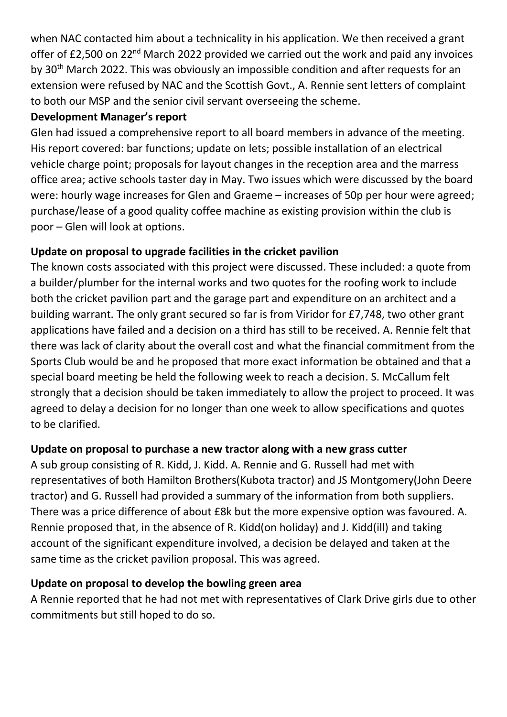when NAC contacted him about a technicality in his application. We then received a grant offer of £2,500 on 22<sup>nd</sup> March 2022 provided we carried out the work and paid any invoices by 30th March 2022. This was obviously an impossible condition and after requests for an extension were refused by NAC and the Scottish Govt., A. Rennie sent letters of complaint to both our MSP and the senior civil servant overseeing the scheme.

#### **Development Manager's report**

Glen had issued a comprehensive report to all board members in advance of the meeting. His report covered: bar functions; update on lets; possible installation of an electrical vehicle charge point; proposals for layout changes in the reception area and the marress office area; active schools taster day in May. Two issues which were discussed by the board were: hourly wage increases for Glen and Graeme – increases of 50p per hour were agreed; purchase/lease of a good quality coffee machine as existing provision within the club is poor – Glen will look at options.

## **Update on proposal to upgrade facilities in the cricket pavilion**

The known costs associated with this project were discussed. These included: a quote from a builder/plumber for the internal works and two quotes for the roofing work to include both the cricket pavilion part and the garage part and expenditure on an architect and a building warrant. The only grant secured so far is from Viridor for £7,748, two other grant applications have failed and a decision on a third has still to be received. A. Rennie felt that there was lack of clarity about the overall cost and what the financial commitment from the Sports Club would be and he proposed that more exact information be obtained and that a special board meeting be held the following week to reach a decision. S. McCallum felt strongly that a decision should be taken immediately to allow the project to proceed. It was agreed to delay a decision for no longer than one week to allow specifications and quotes to be clarified.

### **Update on proposal to purchase a new tractor along with a new grass cutter**

A sub group consisting of R. Kidd, J. Kidd. A. Rennie and G. Russell had met with representatives of both Hamilton Brothers(Kubota tractor) and JS Montgomery(John Deere tractor) and G. Russell had provided a summary of the information from both suppliers. There was a price difference of about £8k but the more expensive option was favoured. A. Rennie proposed that, in the absence of R. Kidd(on holiday) and J. Kidd(ill) and taking account of the significant expenditure involved, a decision be delayed and taken at the same time as the cricket pavilion proposal. This was agreed.

### **Update on proposal to develop the bowling green area**

A Rennie reported that he had not met with representatives of Clark Drive girls due to other commitments but still hoped to do so.